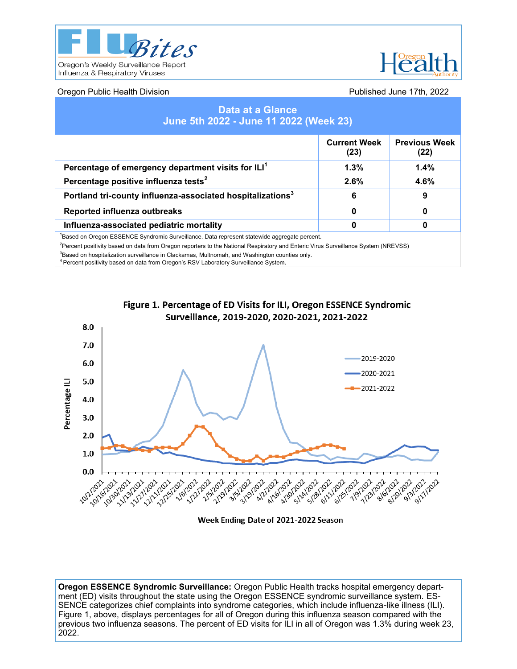



# Oregon Public Health Division Published June 17th, 2022

| <b>Data at a Glance</b><br>June 5th 2022 - June 11 2022 (Week 23)                                        |                             |                              |  |  |  |  |
|----------------------------------------------------------------------------------------------------------|-----------------------------|------------------------------|--|--|--|--|
|                                                                                                          | <b>Current Week</b><br>(23) | <b>Previous Week</b><br>(22) |  |  |  |  |
| Percentage of emergency department visits for ILI <sup>1</sup>                                           | 1.3%                        | 1.4%                         |  |  |  |  |
| Percentage positive influenza tests <sup>2</sup>                                                         | 2.6%                        | 4.6%                         |  |  |  |  |
| Portland tri-county influenza-associated hospitalizations <sup>3</sup>                                   | 6                           | 9                            |  |  |  |  |
| Reported influenza outbreaks                                                                             | 0                           | 0                            |  |  |  |  |
| Influenza-associated pediatric mortality                                                                 | 0                           | 0                            |  |  |  |  |
| <sup>1</sup> Based on Oregon ESSENCE Syndromic Surveillance. Data represent statewide aggregate percent. |                             |                              |  |  |  |  |

<sup>2</sup>Percent positivity based on data from Oregon reporters to the National Respiratory and Enteric Virus Surveillance System (NREVSS)

 ${}^{3}$ Based on hospitalization surveillance in Clackamas, Multnomah, and Washington counties only.

<sup>4</sup> Percent positivity based on data from Oregon's RSV Laboratory Surveillance System.



Figure 1. Percentage of ED Visits for ILI, Oregon ESSENCE Syndromic Surveillance, 2019-2020, 2020-2021, 2021-2022

Week Ending Date of 2021-2022 Season

**Oregon ESSENCE Syndromic Surveillance:** Oregon Public Health tracks hospital emergency department (ED) visits throughout the state using the Oregon ESSENCE syndromic surveillance system. ES-SENCE categorizes chief complaints into syndrome categories, which include influenza-like illness (ILI). Figure 1, above, displays percentages for all of Oregon during this influenza season compared with the previous two influenza seasons. The percent of ED visits for ILI in all of Oregon was 1.3% during week 23, 2022.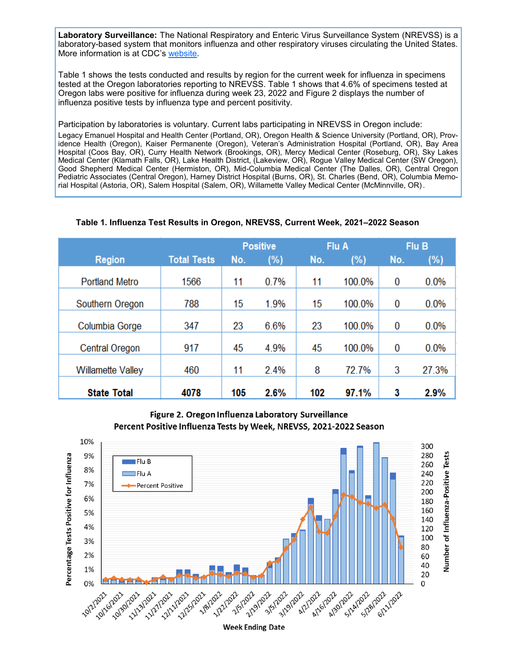**Laboratory Surveillance:** The National Respiratory and Enteric Virus Surveillance System (NREVSS) is a laboratory-based system that monitors influenza and other respiratory viruses circulating the United States. More information is at CDC's [website.](http://www.cdc.gov/surveillance/nrevss/index.html)

Table 1 shows the tests conducted and results by region for the current week for influenza in specimens tested at the Oregon laboratories reporting to NREVSS. Table 1 shows that 4.6% of specimens tested at Oregon labs were positive for influenza during week 23, 2022 and Figure 2 displays the number of influenza positive tests by influenza type and percent positivity.

Participation by laboratories is voluntary. Current labs participating in NREVSS in Oregon include:

Legacy Emanuel Hospital and Health Center (Portland, OR), Oregon Health & Science University (Portland, OR), Providence Health (Oregon), Kaiser Permanente (Oregon), Veteran's Administration Hospital (Portland, OR), Bay Area Hospital (Coos Bay, OR), Curry Health Network (Brookings, OR), Mercy Medical Center (Roseburg, OR), Sky Lakes Medical Center (Klamath Falls, OR), Lake Health District, (Lakeview, OR), Rogue Valley Medical Center (SW Oregon), Good Shepherd Medical Center (Hermiston, OR), Mid-Columbia Medical Center (The Dalles, OR), Central Oregon Pediatric Associates (Central Oregon), Harney District Hospital (Burns, OR), St. Charles (Bend, OR), Columbia Memorial Hospital (Astoria, OR), Salem Hospital (Salem, OR), Willamette Valley Medical Center (McMinnville, OR).

# **Table 1. Influenza Test Results in Oregon, NREVSS, Current Week, 2021–2022 Season**

|                          |                    | <b>Positive</b> |        | Flu A |        | Flu B |         |
|--------------------------|--------------------|-----------------|--------|-------|--------|-------|---------|
| <b>Region</b>            | <b>Total Tests</b> | No.             | $(\%)$ | No.   | (%)    | No.   | (%)     |
| <b>Portland Metro</b>    | 1566               | 11              | 0.7%   | 11    | 100.0% | 0     | $0.0\%$ |
| Southern Oregon          | 788                | 15              | 1.9%   | 15    | 100.0% | 0     | $0.0\%$ |
| Columbia Gorge           | 347                | 23              | 6.6%   | 23    | 100.0% | 0     | 0.0%    |
| <b>Central Oregon</b>    | 917                | 45              | 4.9%   | 45    | 100.0% | 0     | $0.0\%$ |
| <b>Willamette Valley</b> | 460                | 11              | 2.4%   | 8     | 72.7%  | 3     | 27.3%   |
| <b>State Total</b>       | 4078               | 105             | 2.6%   | 102   | 97.1%  | 3     | 2.9%    |

Figure 2. Oregon Influenza Laboratory Surveillance Percent Positive Influenza Tests by Week, NREVSS, 2021-2022 Season

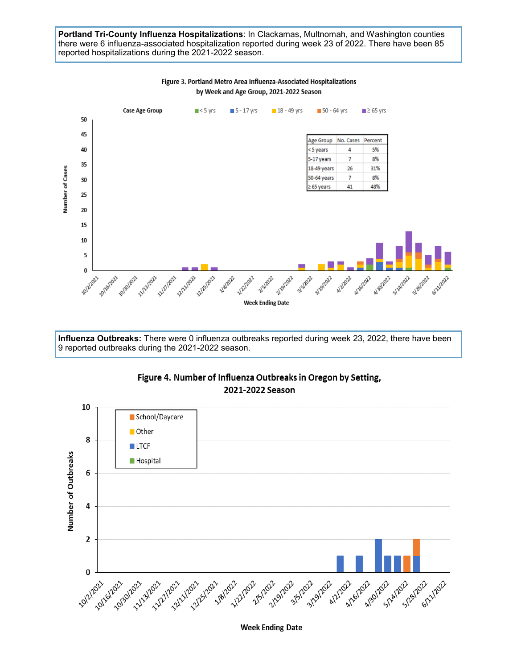## **Portland Tri-County Influenza Hospitalizations**: In Clackamas, Multnomah, and Washington counties there were 6 influenza-associated hospitalization reported during week 23 of 2022. There have been 85 reported hospitalizations during the 2021-2022 season.



**Influenza Outbreaks:** There were 0 influenza outbreaks reported during week 23, 2022, there have been 9 reported outbreaks during the 2021-2022 season.





**Week Ending Date**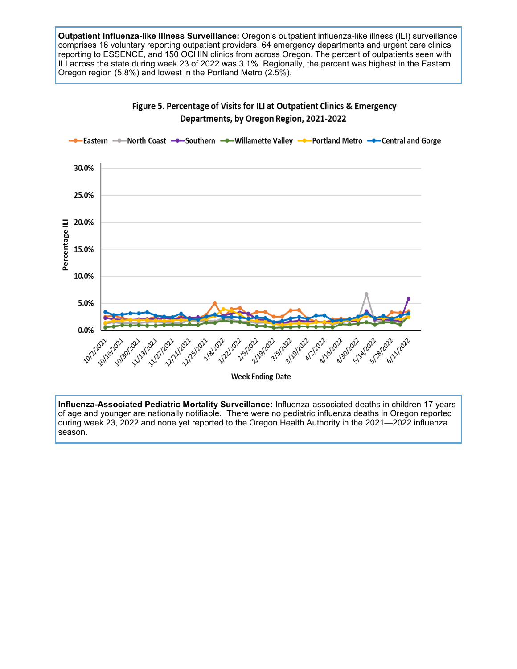**Outpatient Influenza-like Illness Surveillance:** Oregon's outpatient influenza-like illness (ILI) surveillance comprises 16 voluntary reporting outpatient providers, 64 emergency departments and urgent care clinics reporting to ESSENCE, and 150 OCHIN clinics from across Oregon. The percent of outpatients seen with ILI across the state during week 23 of 2022 was 3.1%. Regionally, the percent was highest in the Eastern Oregon region (5.8%) and lowest in the Portland Metro (2.5%).



Figure 5. Percentage of Visits for ILI at Outpatient Clinics & Emergency Departments, by Oregon Region, 2021-2022

**Influenza-Associated Pediatric Mortality Surveillance:** Influenza-associated deaths in children 17 years of age and younger are nationally notifiable. There were no pediatric influenza deaths in Oregon reported during week 23, 2022 and none yet reported to the Oregon Health Authority in the 2021—2022 influenza season.